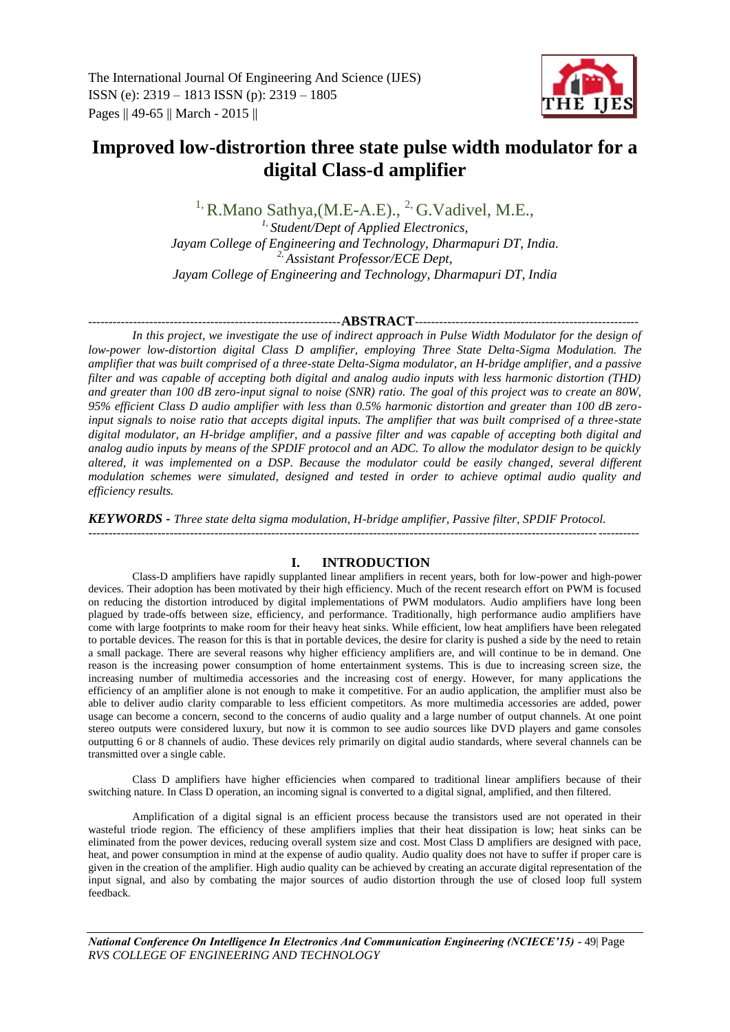

# **Improved low-distrortion three state pulse width modulator for a digital Class-d amplifier**

 $<sup>1</sup>$ , R.Mano Sathya, (M.E-A.E).,  $<sup>2</sup>$ , G.Vadivel, M.E.,</sup></sup>

*1, Student/Dept of Applied Electronics, Jayam College of Engineering and Technology, Dharmapuri DT, India. 2, Assistant Professor/ECE Dept, Jayam College of Engineering and Technology, Dharmapuri DT, India*

### --------------------------------------------------------------**ABSTRACT**-------------------------------------------------------

*In this project, we investigate the use of indirect approach in Pulse Width Modulator for the design of low-power low-distortion digital Class D amplifier, employing Three State Delta-Sigma Modulation. The amplifier that was built comprised of a three-state Delta-Sigma modulator, an H-bridge amplifier, and a passive filter and was capable of accepting both digital and analog audio inputs with less harmonic distortion (THD) and greater than 100 dB zero-input signal to noise (SNR) ratio. The goal of this project was to create an 80W, 95% efficient Class D audio amplifier with less than 0.5% harmonic distortion and greater than 100 dB zeroinput signals to noise ratio that accepts digital inputs. The amplifier that was built comprised of a three-state digital modulator, an H-bridge amplifier, and a passive filter and was capable of accepting both digital and analog audio inputs by means of the SPDIF protocol and an ADC. To allow the modulator design to be quickly altered, it was implemented on a DSP. Because the modulator could be easily changed, several different modulation schemes were simulated, designed and tested in order to achieve optimal audio quality and efficiency results.*

*KEYWORDS* **-** *Three state delta sigma modulation, H-bridge amplifier, Passive filter, SPDIF Protocol.*

### ---------------------------------------------------------------------------------------------------------------------------------------

# **I. INTRODUCTION**

Class-D amplifiers have rapidly supplanted linear amplifiers in recent years, both for low-power and high-power devices. Their adoption has been motivated by their high efficiency. Much of the recent research effort on PWM is focused on reducing the distortion introduced by digital implementations of PWM modulators. Audio amplifiers have long been plagued by trade-offs between size, efficiency, and performance. Traditionally, high performance audio amplifiers have come with large footprints to make room for their heavy heat sinks. While efficient, low heat amplifiers have been relegated to portable devices. The reason for this is that in portable devices, the desire for clarity is pushed a side by the need to retain a small package. There are several reasons why higher efficiency amplifiers are, and will continue to be in demand. One reason is the increasing power consumption of home entertainment systems. This is due to increasing screen size, the increasing number of multimedia accessories and the increasing cost of energy. However, for many applications the efficiency of an amplifier alone is not enough to make it competitive. For an audio application, the amplifier must also be able to deliver audio clarity comparable to less efficient competitors. As more multimedia accessories are added, power usage can become a concern, second to the concerns of audio quality and a large number of output channels. At one point stereo outputs were considered luxury, but now it is common to see audio sources like DVD players and game consoles outputting 6 or 8 channels of audio. These devices rely primarily on digital audio standards, where several channels can be transmitted over a single cable.

Class D amplifiers have higher efficiencies when compared to traditional linear amplifiers because of their switching nature. In Class D operation, an incoming signal is converted to a digital signal, amplified, and then filtered.

Amplification of a digital signal is an efficient process because the transistors used are not operated in their wasteful triode region. The efficiency of these amplifiers implies that their heat dissipation is low; heat sinks can be eliminated from the power devices, reducing overall system size and cost. Most Class D amplifiers are designed with pace, heat, and power consumption in mind at the expense of audio quality. Audio quality does not have to suffer if proper care is given in the creation of the amplifier. High audio quality can be achieved by creating an accurate digital representation of the input signal, and also by combating the major sources of audio distortion through the use of closed loop full system feedback.

*National Conference On Intelligence In Electronics And Communication Engineering (NCIECE'15) -* 49| Page *RVS COLLEGE OF ENGINEERING AND TECHNOLOGY*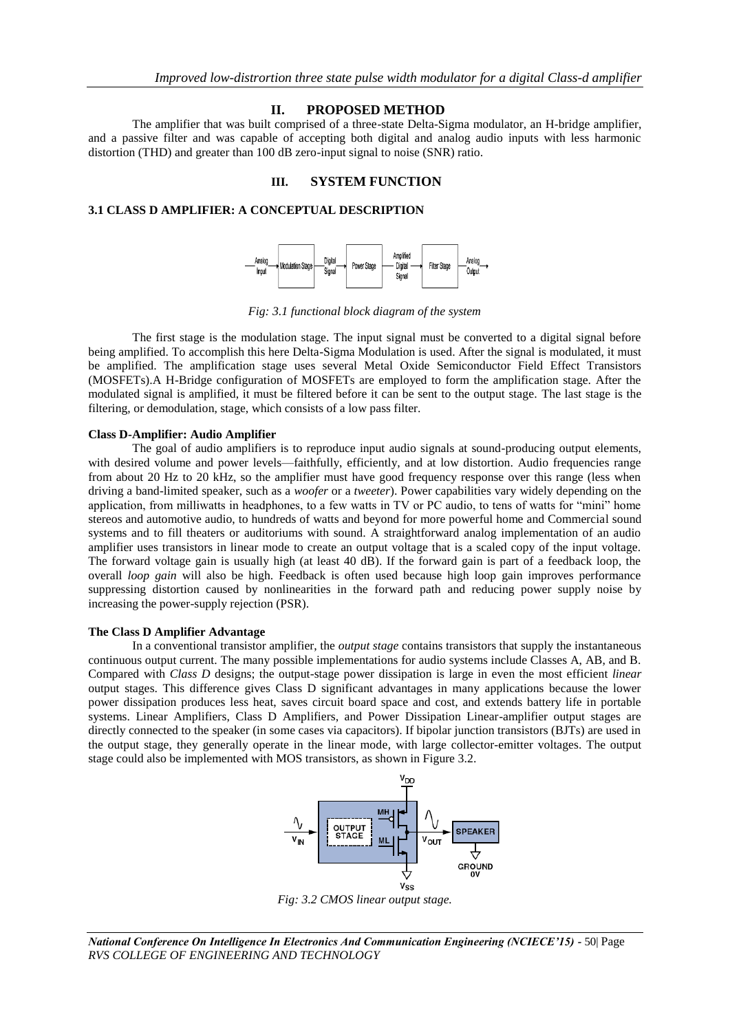# **II. PROPOSED METHOD**

The amplifier that was built comprised of a three-state Delta-Sigma modulator, an H-bridge amplifier, and a passive filter and was capable of accepting both digital and analog audio inputs with less harmonic distortion (THD) and greater than 100 dB zero-input signal to noise (SNR) ratio.

### **III. SYSTEM FUNCTION**

# **3.1 CLASS D AMPLIFIER: A CONCEPTUAL DESCRIPTION**



*Fig: 3.1 functional block diagram of the system*

The first stage is the modulation stage. The input signal must be converted to a digital signal before being amplified. To accomplish this here Delta-Sigma Modulation is used. After the signal is modulated, it must be amplified. The amplification stage uses several Metal Oxide Semiconductor Field Effect Transistors (MOSFETs).A H-Bridge configuration of MOSFETs are employed to form the amplification stage. After the modulated signal is amplified, it must be filtered before it can be sent to the output stage. The last stage is the filtering, or demodulation, stage, which consists of a low pass filter.

### **Class D-Amplifier: Audio Amplifier**

The goal of audio amplifiers is to reproduce input audio signals at sound-producing output elements, with desired volume and power levels—faithfully, efficiently, and at low distortion. Audio frequencies range from about 20 Hz to 20 kHz, so the amplifier must have good frequency response over this range (less when driving a band-limited speaker, such as a *woofer* or a *tweeter*). Power capabilities vary widely depending on the application, from milliwatts in headphones, to a few watts in TV or PC audio, to tens of watts for "mini" home stereos and automotive audio, to hundreds of watts and beyond for more powerful home and Commercial sound systems and to fill theaters or auditoriums with sound. A straightforward analog implementation of an audio amplifier uses transistors in linear mode to create an output voltage that is a scaled copy of the input voltage. The forward voltage gain is usually high (at least 40 dB). If the forward gain is part of a feedback loop, the overall *loop gain* will also be high. Feedback is often used because high loop gain improves performance suppressing distortion caused by nonlinearities in the forward path and reducing power supply noise by increasing the power-supply rejection (PSR).

#### **The Class D Amplifier Advantage**

In a conventional transistor amplifier, the *output stage* contains transistors that supply the instantaneous continuous output current. The many possible implementations for audio systems include Classes A, AB, and B. Compared with *Class D* designs; the output-stage power dissipation is large in even the most efficient *linear*  output stages. This difference gives Class D significant advantages in many applications because the lower power dissipation produces less heat, saves circuit board space and cost, and extends battery life in portable systems. Linear Amplifiers, Class D Amplifiers, and Power Dissipation Linear-amplifier output stages are directly connected to the speaker (in some cases via capacitors). If bipolar junction transistors (BJTs) are used in the output stage, they generally operate in the linear mode, with large collector-emitter voltages. The output stage could also be implemented with MOS transistors, as shown in Figure 3.2.



*Fig: 3.2 CMOS linear output stage.*

*National Conference On Intelligence In Electronics And Communication Engineering (NCIECE'15) -* 50| Page *RVS COLLEGE OF ENGINEERING AND TECHNOLOGY*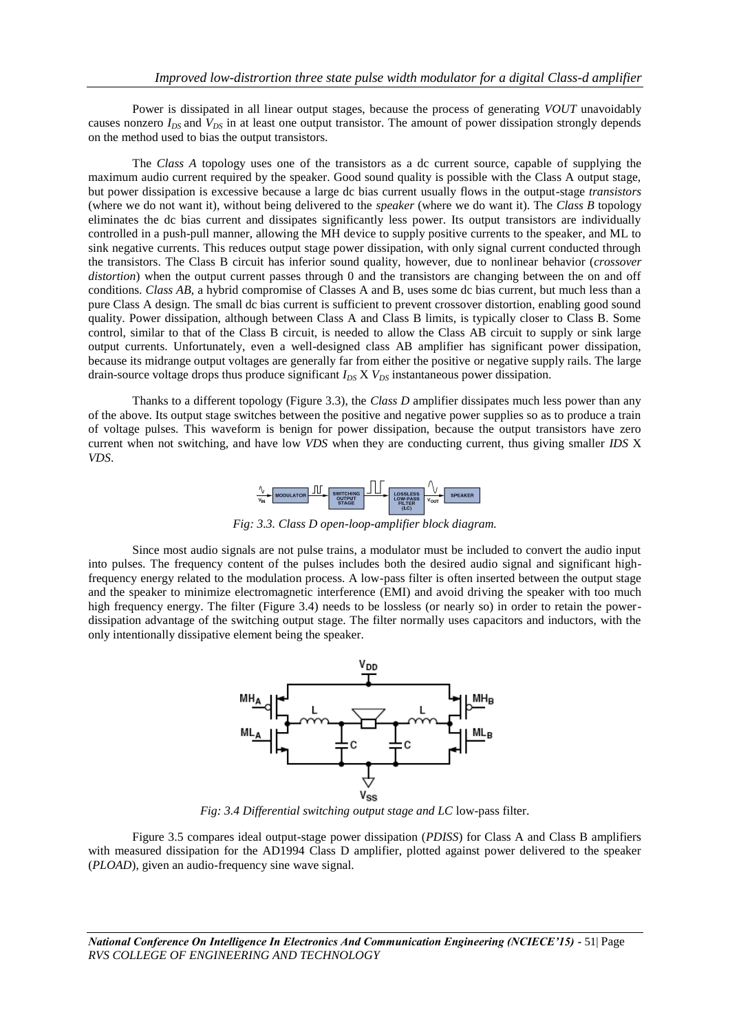Power is dissipated in all linear output stages, because the process of generating *VOUT* unavoidably causes nonzero  $I_{DS}$  and  $V_{DS}$  in at least one output transistor. The amount of power dissipation strongly depends on the method used to bias the output transistors.

The *Class A* topology uses one of the transistors as a dc current source, capable of supplying the maximum audio current required by the speaker. Good sound quality is possible with the Class A output stage, but power dissipation is excessive because a large dc bias current usually flows in the output-stage *transistors*  (where we do not want it), without being delivered to the *speaker* (where we do want it). The *Class B* topology eliminates the dc bias current and dissipates significantly less power. Its output transistors are individually controlled in a push-pull manner, allowing the MH device to supply positive currents to the speaker, and ML to sink negative currents. This reduces output stage power dissipation, with only signal current conducted through the transistors. The Class B circuit has inferior sound quality, however, due to nonlinear behavior (*crossover distortion*) when the output current passes through 0 and the transistors are changing between the on and off conditions. *Class AB*, a hybrid compromise of Classes A and B, uses some dc bias current, but much less than a pure Class A design. The small dc bias current is sufficient to prevent crossover distortion, enabling good sound quality. Power dissipation, although between Class A and Class B limits, is typically closer to Class B. Some control, similar to that of the Class B circuit, is needed to allow the Class AB circuit to supply or sink large output currents. Unfortunately, even a well-designed class AB amplifier has significant power dissipation, because its midrange output voltages are generally far from either the positive or negative supply rails. The large drain-source voltage drops thus produce significant  $I_{DS}$  X  $V_{DS}$  instantaneous power dissipation.

Thanks to a different topology (Figure 3.3), the *Class D* amplifier dissipates much less power than any of the above. Its output stage switches between the positive and negative power supplies so as to produce a train of voltage pulses. This waveform is benign for power dissipation, because the output transistors have zero current when not switching, and have low *VDS* when they are conducting current, thus giving smaller *IDS* X *VDS*.



*Fig: 3.3. Class D open-loop-amplifier block diagram.*

Since most audio signals are not pulse trains, a modulator must be included to convert the audio input into pulses. The frequency content of the pulses includes both the desired audio signal and significant highfrequency energy related to the modulation process. A low-pass filter is often inserted between the output stage and the speaker to minimize electromagnetic interference (EMI) and avoid driving the speaker with too much high frequency energy. The filter (Figure 3.4) needs to be lossless (or nearly so) in order to retain the powerdissipation advantage of the switching output stage. The filter normally uses capacitors and inductors, with the only intentionally dissipative element being the speaker.



*Fig: 3.4 Differential switching output stage and LC* low-pass filter.

Figure 3.5 compares ideal output-stage power dissipation (*PDISS*) for Class A and Class B amplifiers with measured dissipation for the AD1994 Class D amplifier, plotted against power delivered to the speaker (*PLOAD*), given an audio-frequency sine wave signal.

*National Conference On Intelligence In Electronics And Communication Engineering (NCIECE'15) -* 51| Page *RVS COLLEGE OF ENGINEERING AND TECHNOLOGY*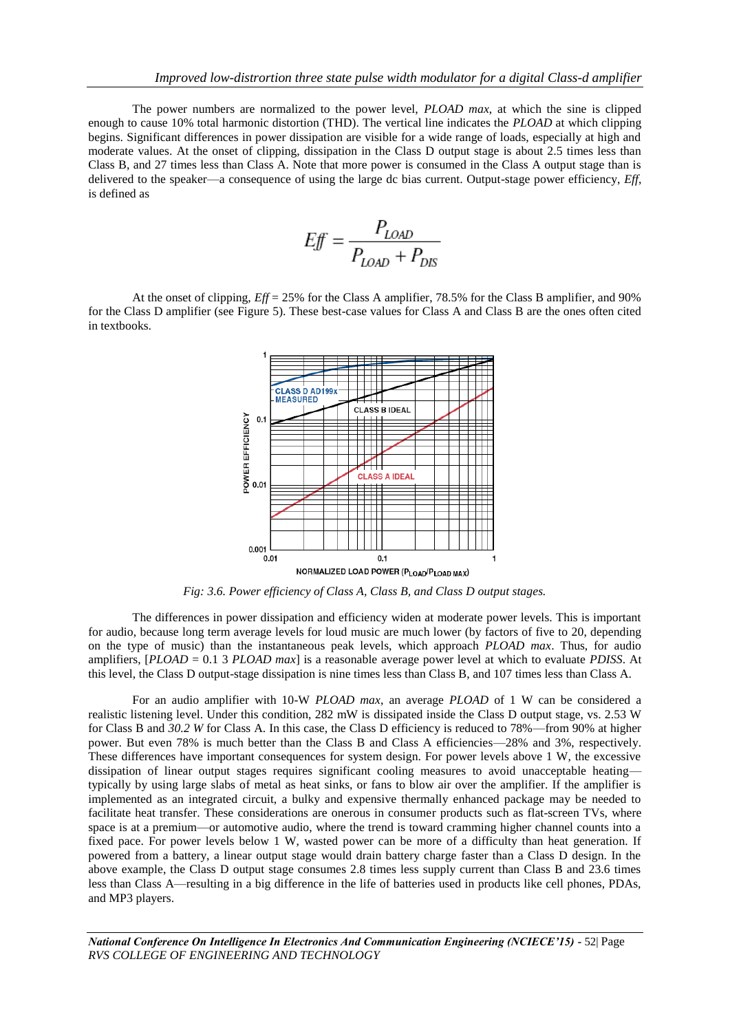The power numbers are normalized to the power level, *PLOAD max*, at which the sine is clipped enough to cause 10% total harmonic distortion (THD). The vertical line indicates the *PLOAD* at which clipping begins. Significant differences in power dissipation are visible for a wide range of loads, especially at high and moderate values. At the onset of clipping, dissipation in the Class D output stage is about 2.5 times less than Class B, and 27 times less than Class A. Note that more power is consumed in the Class A output stage than is delivered to the speaker—a consequence of using the large dc bias current. Output-stage power efficiency, *Eff*, is defined as

$$
Eff = \frac{P_{LOAD}}{P_{LOAD} + P_{DIS}}
$$

At the onset of clipping, *Eff* = 25% for the Class A amplifier, 78.5% for the Class B amplifier, and 90% for the Class D amplifier (see Figure 5). These best-case values for Class A and Class B are the ones often cited in textbooks.



*Fig: 3.6. Power efficiency of Class A, Class B, and Class D output stages.*

The differences in power dissipation and efficiency widen at moderate power levels. This is important for audio, because long term average levels for loud music are much lower (by factors of five to 20, depending on the type of music) than the instantaneous peak levels, which approach *PLOAD max*. Thus, for audio amplifiers, [*PLOAD* = 0.1 3 *PLOAD max*] is a reasonable average power level at which to evaluate *PDISS*. At this level, the Class D output-stage dissipation is nine times less than Class B, and 107 times less than Class A.

For an audio amplifier with 10-W *PLOAD max*, an average *PLOAD* of 1 W can be considered a realistic listening level. Under this condition, 282 mW is dissipated inside the Class D output stage, vs. 2.53 W for Class B and *30.2 W* for Class A. In this case, the Class D efficiency is reduced to 78%—from 90% at higher power. But even 78% is much better than the Class B and Class A efficiencies—28% and 3%, respectively. These differences have important consequences for system design. For power levels above 1 W, the excessive dissipation of linear output stages requires significant cooling measures to avoid unacceptable heating typically by using large slabs of metal as heat sinks, or fans to blow air over the amplifier. If the amplifier is implemented as an integrated circuit, a bulky and expensive thermally enhanced package may be needed to facilitate heat transfer. These considerations are onerous in consumer products such as flat-screen TVs, where space is at a premium—or automotive audio, where the trend is toward cramming higher channel counts into a fixed pace. For power levels below 1 W, wasted power can be more of a difficulty than heat generation. If powered from a battery, a linear output stage would drain battery charge faster than a Class D design. In the above example, the Class D output stage consumes 2.8 times less supply current than Class B and 23.6 times less than Class A—resulting in a big difference in the life of batteries used in products like cell phones, PDAs, and MP3 players.

*National Conference On Intelligence In Electronics And Communication Engineering (NCIECE'15) -* 52| Page *RVS COLLEGE OF ENGINEERING AND TECHNOLOGY*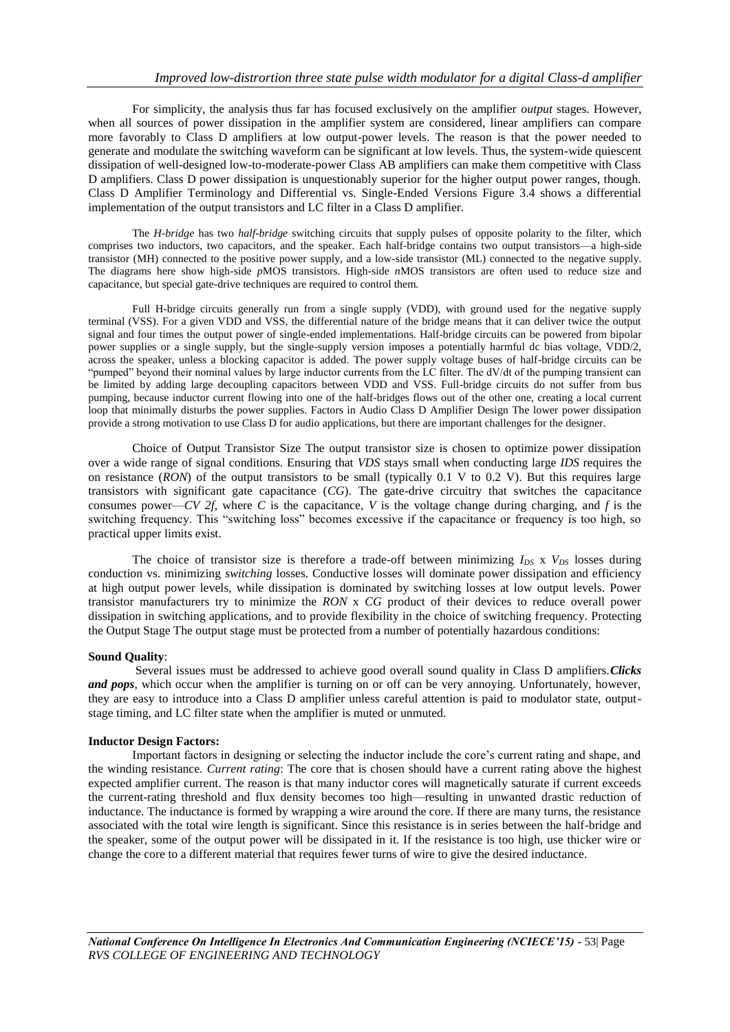For simplicity, the analysis thus far has focused exclusively on the amplifier *output* stages. However, when all sources of power dissipation in the amplifier system are considered, linear amplifiers can compare more favorably to Class D amplifiers at low output-power levels. The reason is that the power needed to generate and modulate the switching waveform can be significant at low levels. Thus, the system-wide quiescent dissipation of well-designed low-to-moderate-power Class AB amplifiers can make them competitive with Class D amplifiers. Class D power dissipation is unquestionably superior for the higher output power ranges, though. Class D Amplifier Terminology and Differential vs. Single-Ended Versions Figure 3.4 shows a differential implementation of the output transistors and LC filter in a Class D amplifier.

The *H-bridge* has two *half-bridge* switching circuits that supply pulses of opposite polarity to the filter, which comprises two inductors, two capacitors, and the speaker. Each half-bridge contains two output transistors—a high-side transistor (MH) connected to the positive power supply, and a low-side transistor (ML) connected to the negative supply. The diagrams here show high-side *p*MOS transistors. High-side *n*MOS transistors are often used to reduce size and capacitance, but special gate-drive techniques are required to control them.

Full H-bridge circuits generally run from a single supply (VDD), with ground used for the negative supply terminal (VSS). For a given VDD and VSS, the differential nature of the bridge means that it can deliver twice the output signal and four times the output power of single-ended implementations. Half-bridge circuits can be powered from bipolar power supplies or a single supply, but the single-supply version imposes a potentially harmful dc bias voltage, VDD/2, across the speaker, unless a blocking capacitor is added. The power supply voltage buses of half-bridge circuits can be "pumped" beyond their nominal values by large inductor currents from the LC filter. The dV/dt of the pumping transient can be limited by adding large decoupling capacitors between VDD and VSS. Full-bridge circuits do not suffer from bus pumping, because inductor current flowing into one of the half-bridges flows out of the other one, creating a local current loop that minimally disturbs the power supplies. Factors in Audio Class D Amplifier Design The lower power dissipation provide a strong motivation to use Class D for audio applications, but there are important challenges for the designer.

Choice of Output Transistor Size The output transistor size is chosen to optimize power dissipation over a wide range of signal conditions. Ensuring that *VDS* stays small when conducting large *IDS* requires the on resistance (*RON*) of the output transistors to be small (typically 0.1 V to 0.2 V). But this requires large transistors with significant gate capacitance (*CG*). The gate-drive circuitry that switches the capacitance consumes power—*CV 2f*, where *C* is the capacitance, *V* is the voltage change during charging, and *f* is the switching frequency. This "switching loss" becomes excessive if the capacitance or frequency is too high, so practical upper limits exist.

The choice of transistor size is therefore a trade-off between minimizing  $I_{DS} \times V_{DS}$  losses during conduction vs. minimizing *switching* losses. Conductive losses will dominate power dissipation and efficiency at high output power levels, while dissipation is dominated by switching losses at low output levels. Power transistor manufacturers try to minimize the *RON* x *CG* product of their devices to reduce overall power dissipation in switching applications, and to provide flexibility in the choice of switching frequency. Protecting the Output Stage The output stage must be protected from a number of potentially hazardous conditions:

#### **Sound Quality**:

Several issues must be addressed to achieve good overall sound quality in Class D amplifiers.*Clicks and pops*, which occur when the amplifier is turning on or off can be very annoying. Unfortunately, however, they are easy to introduce into a Class D amplifier unless careful attention is paid to modulator state, outputstage timing, and LC filter state when the amplifier is muted or unmuted.

#### **Inductor Design Factors:**

Important factors in designing or selecting the inductor include the core's current rating and shape, and the winding resistance. *Current rating*: The core that is chosen should have a current rating above the highest expected amplifier current. The reason is that many inductor cores will magnetically saturate if current exceeds the current-rating threshold and flux density becomes too high—resulting in unwanted drastic reduction of inductance. The inductance is formed by wrapping a wire around the core. If there are many turns, the resistance associated with the total wire length is significant. Since this resistance is in series between the half-bridge and the speaker, some of the output power will be dissipated in it. If the resistance is too high, use thicker wire or change the core to a different material that requires fewer turns of wire to give the desired inductance.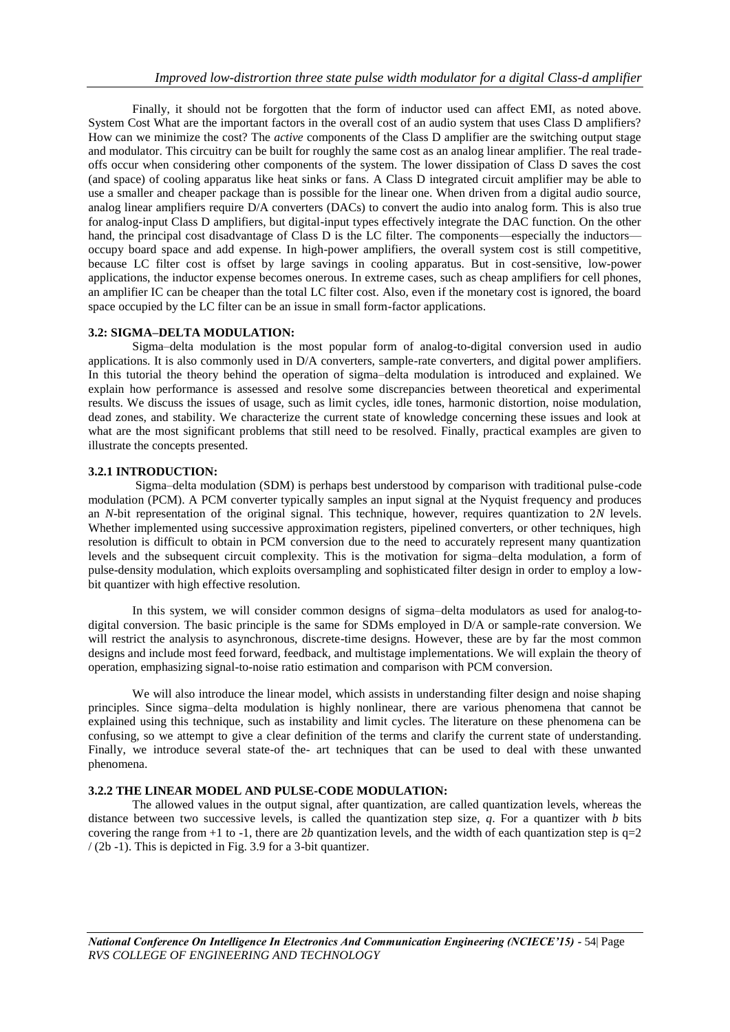Finally, it should not be forgotten that the form of inductor used can affect EMI, as noted above. System Cost What are the important factors in the overall cost of an audio system that uses Class D amplifiers? How can we minimize the cost? The *active* components of the Class D amplifier are the switching output stage and modulator. This circuitry can be built for roughly the same cost as an analog linear amplifier. The real tradeoffs occur when considering other components of the system. The lower dissipation of Class D saves the cost (and space) of cooling apparatus like heat sinks or fans. A Class D integrated circuit amplifier may be able to use a smaller and cheaper package than is possible for the linear one. When driven from a digital audio source, analog linear amplifiers require D/A converters (DACs) to convert the audio into analog form. This is also true for analog-input Class D amplifiers, but digital-input types effectively integrate the DAC function. On the other hand, the principal cost disadvantage of Class D is the LC filter. The components—especially the inductors occupy board space and add expense. In high-power amplifiers, the overall system cost is still competitive, because LC filter cost is offset by large savings in cooling apparatus. But in cost-sensitive, low-power applications, the inductor expense becomes onerous. In extreme cases, such as cheap amplifiers for cell phones, an amplifier IC can be cheaper than the total LC filter cost. Also, even if the monetary cost is ignored, the board space occupied by the LC filter can be an issue in small form-factor applications.

# **3.2: SIGMA–DELTA MODULATION:**

Sigma–delta modulation is the most popular form of analog-to-digital conversion used in audio applications. It is also commonly used in D/A converters, sample-rate converters, and digital power amplifiers. In this tutorial the theory behind the operation of sigma–delta modulation is introduced and explained. We explain how performance is assessed and resolve some discrepancies between theoretical and experimental results. We discuss the issues of usage, such as limit cycles, idle tones, harmonic distortion, noise modulation, dead zones, and stability. We characterize the current state of knowledge concerning these issues and look at what are the most significant problems that still need to be resolved. Finally, practical examples are given to illustrate the concepts presented.

### **3.2.1 INTRODUCTION:**

Sigma–delta modulation (SDM) is perhaps best understood by comparison with traditional pulse-code modulation (PCM). A PCM converter typically samples an input signal at the Nyquist frequency and produces an *N*-bit representation of the original signal. This technique, however, requires quantization to 2*N* levels. Whether implemented using successive approximation registers, pipelined converters, or other techniques, high resolution is difficult to obtain in PCM conversion due to the need to accurately represent many quantization levels and the subsequent circuit complexity. This is the motivation for sigma–delta modulation, a form of pulse-density modulation, which exploits oversampling and sophisticated filter design in order to employ a lowbit quantizer with high effective resolution.

In this system, we will consider common designs of sigma–delta modulators as used for analog-todigital conversion. The basic principle is the same for SDMs employed in D/A or sample-rate conversion. We will restrict the analysis to asynchronous, discrete-time designs. However, these are by far the most common designs and include most feed forward, feedback, and multistage implementations. We will explain the theory of operation, emphasizing signal-to-noise ratio estimation and comparison with PCM conversion.

We will also introduce the linear model, which assists in understanding filter design and noise shaping principles. Since sigma–delta modulation is highly nonlinear, there are various phenomena that cannot be explained using this technique, such as instability and limit cycles. The literature on these phenomena can be confusing, so we attempt to give a clear definition of the terms and clarify the current state of understanding. Finally, we introduce several state-of the- art techniques that can be used to deal with these unwanted phenomena.

## **3.2.2 THE LINEAR MODEL AND PULSE-CODE MODULATION:**

The allowed values in the output signal, after quantization, are called quantization levels, whereas the distance between two successive levels, is called the quantization step size, *q*. For a quantizer with *b* bits covering the range from  $+1$  to  $-1$ , there are 2*b* quantization levels, and the width of each quantization step is  $q=2$ / (2b -1). This is depicted in Fig. 3.9 for a 3-bit quantizer.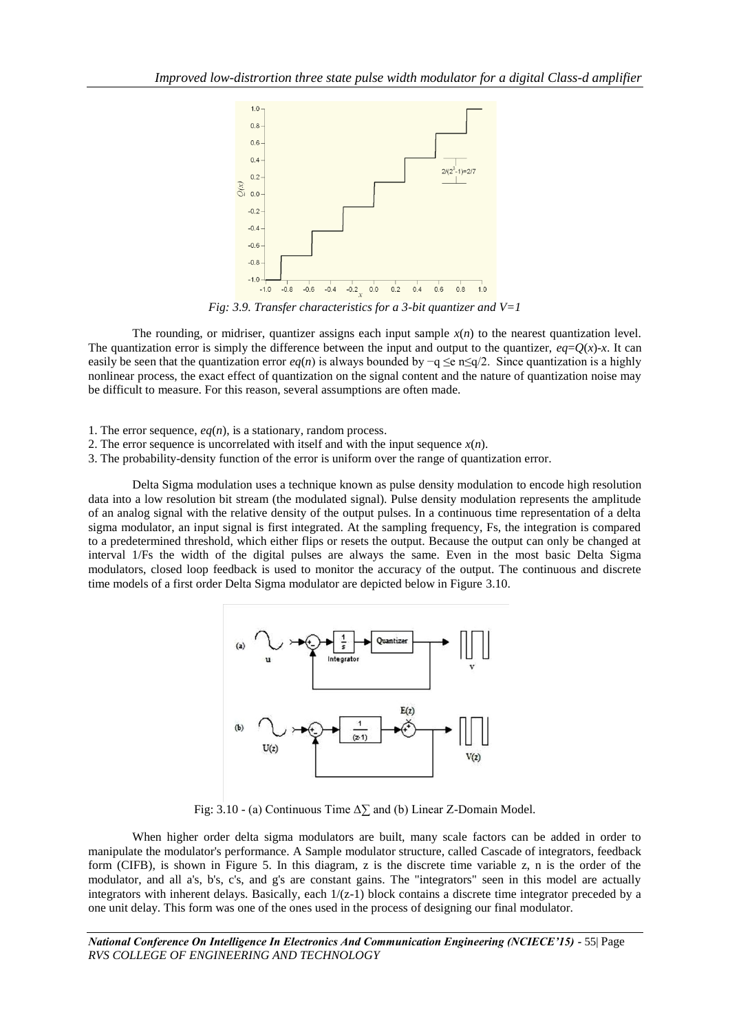

*Fig: 3.9. Transfer characteristics for a 3-bit quantizer and V=1*

The rounding, or midriser, quantizer assigns each input sample  $x(n)$  to the nearest quantization level. The quantization error is simply the difference between the input and output to the quantizer,  $eq=Q(x)$ -*x*. It can easily be seen that the quantization error *eq*(*n*) is always bounded by −q ≤e n≤q/2. Since quantization is a highly nonlinear process, the exact effect of quantization on the signal content and the nature of quantization noise may be difficult to measure. For this reason, several assumptions are often made.

1. The error sequence, *eq*(*n*), is a stationary, random process.

- 2. The error sequence is uncorrelated with itself and with the input sequence  $x(n)$ .
- 3. The probability-density function of the error is uniform over the range of quantization error.

Delta Sigma modulation uses a technique known as pulse density modulation to encode high resolution data into a low resolution bit stream (the modulated signal). Pulse density modulation represents the amplitude of an analog signal with the relative density of the output pulses. In a continuous time representation of a delta sigma modulator, an input signal is first integrated. At the sampling frequency, Fs, the integration is compared to a predetermined threshold, which either flips or resets the output. Because the output can only be changed at interval 1/Fs the width of the digital pulses are always the same. Even in the most basic Delta Sigma modulators, closed loop feedback is used to monitor the accuracy of the output. The continuous and discrete time models of a first order Delta Sigma modulator are depicted below in Figure 3.10.



Fig: 3.10 - (a) Continuous Time  $\Delta \sum$  and (b) Linear Z-Domain Model.

When higher order delta sigma modulators are built, many scale factors can be added in order to manipulate the modulator's performance. A Sample modulator structure, called Cascade of integrators, feedback form (CIFB), is shown in Figure 5. In this diagram, z is the discrete time variable z, n is the order of the modulator, and all a's, b's, c's, and g's are constant gains. The "integrators" seen in this model are actually integrators with inherent delays. Basically, each  $1/(z-1)$  block contains a discrete time integrator preceded by a one unit delay. This form was one of the ones used in the process of designing our final modulator.

*National Conference On Intelligence In Electronics And Communication Engineering (NCIECE'15) -* 55| Page *RVS COLLEGE OF ENGINEERING AND TECHNOLOGY*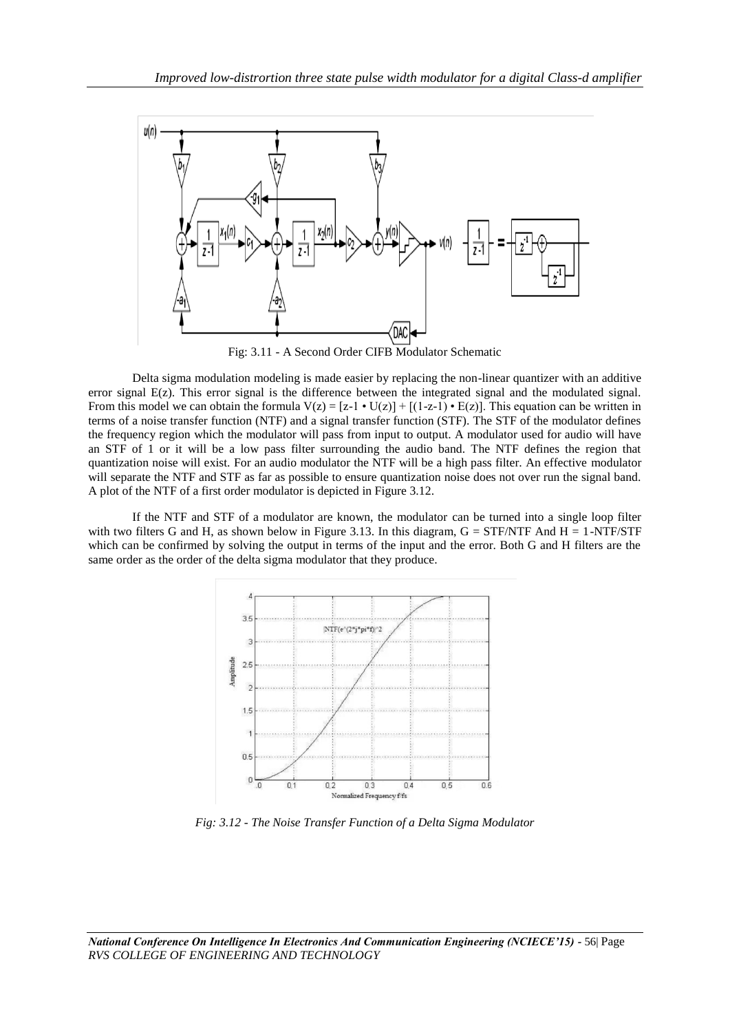

Fig: 3.11 - A Second Order CIFB Modulator Schematic

Delta sigma modulation modeling is made easier by replacing the non-linear quantizer with an additive error signal E(z). This error signal is the difference between the integrated signal and the modulated signal. From this model we can obtain the formula  $V(z) = [z-1 \cdot U(z)] + [(1-z-1) \cdot E(z)]$ . This equation can be written in terms of a noise transfer function (NTF) and a signal transfer function (STF). The STF of the modulator defines the frequency region which the modulator will pass from input to output. A modulator used for audio will have an STF of 1 or it will be a low pass filter surrounding the audio band. The NTF defines the region that quantization noise will exist. For an audio modulator the NTF will be a high pass filter. An effective modulator will separate the NTF and STF as far as possible to ensure quantization noise does not over run the signal band. A plot of the NTF of a first order modulator is depicted in Figure 3.12.

If the NTF and STF of a modulator are known, the modulator can be turned into a single loop filter with two filters G and H, as shown below in Figure 3.13. In this diagram,  $G = STF/NTF$  And  $H = 1-NTF/STF$ which can be confirmed by solving the output in terms of the input and the error. Both G and H filters are the same order as the order of the delta sigma modulator that they produce.



*Fig: 3.12 - The Noise Transfer Function of a Delta Sigma Modulator*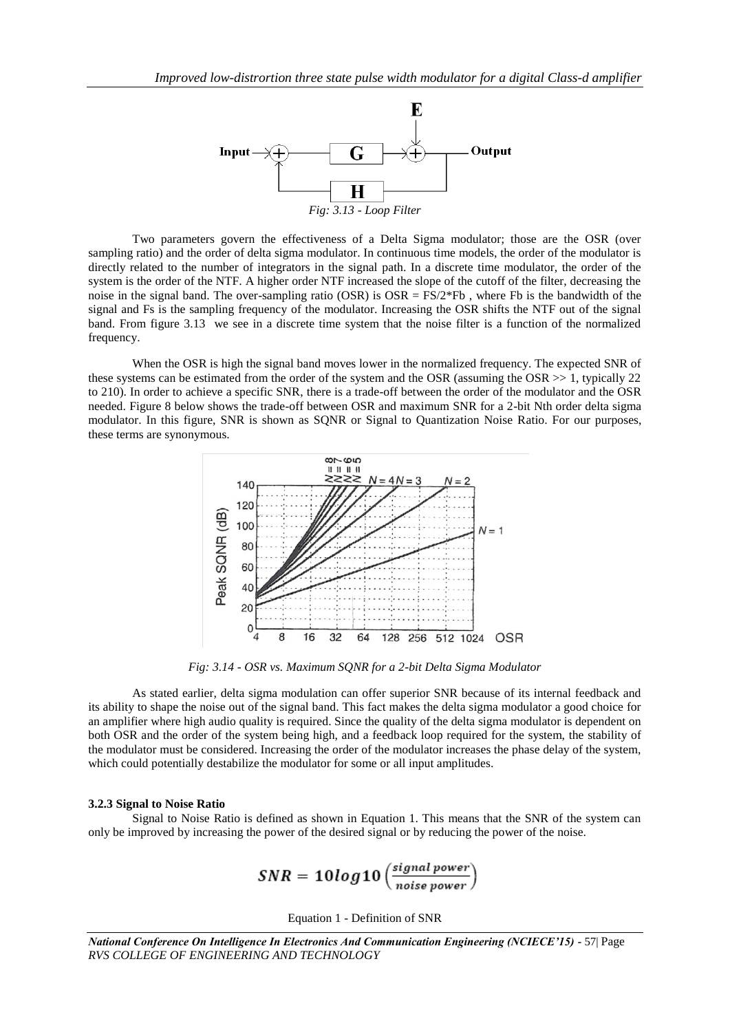

Two parameters govern the effectiveness of a Delta Sigma modulator; those are the OSR (over sampling ratio) and the order of delta sigma modulator. In continuous time models, the order of the modulator is directly related to the number of integrators in the signal path. In a discrete time modulator, the order of the system is the order of the NTF. A higher order NTF increased the slope of the cutoff of the filter, decreasing the noise in the signal band. The over-sampling ratio (OSR) is  $OSR = FS/2*Fb$ , where Fb is the bandwidth of the signal and Fs is the sampling frequency of the modulator. Increasing the OSR shifts the NTF out of the signal band. From figure 3.13 we see in a discrete time system that the noise filter is a function of the normalized frequency.

When the OSR is high the signal band moves lower in the normalized frequency. The expected SNR of these systems can be estimated from the order of the system and the OSR (assuming the OSR >> 1, typically 22 to 210). In order to achieve a specific SNR, there is a trade-off between the order of the modulator and the OSR needed. Figure 8 below shows the trade-off between OSR and maximum SNR for a 2-bit Nth order delta sigma modulator. In this figure, SNR is shown as SQNR or Signal to Quantization Noise Ratio. For our purposes, these terms are synonymous.



*Fig: 3.14 - OSR vs. Maximum SQNR for a 2-bit Delta Sigma Modulator*

As stated earlier, delta sigma modulation can offer superior SNR because of its internal feedback and its ability to shape the noise out of the signal band. This fact makes the delta sigma modulator a good choice for an amplifier where high audio quality is required. Since the quality of the delta sigma modulator is dependent on both OSR and the order of the system being high, and a feedback loop required for the system, the stability of the modulator must be considered. Increasing the order of the modulator increases the phase delay of the system, which could potentially destabilize the modulator for some or all input amplitudes.

#### **3.2.3 Signal to Noise Ratio**

Signal to Noise Ratio is defined as shown in Equation 1. This means that the SNR of the system can only be improved by increasing the power of the desired signal or by reducing the power of the noise.

$$
SNR = 10 log10 \left( \frac{signal power}{noise power} \right)
$$

Equation 1 - Definition of SNR

*National Conference On Intelligence In Electronics And Communication Engineering (NCIECE'15) -* 57| Page *RVS COLLEGE OF ENGINEERING AND TECHNOLOGY*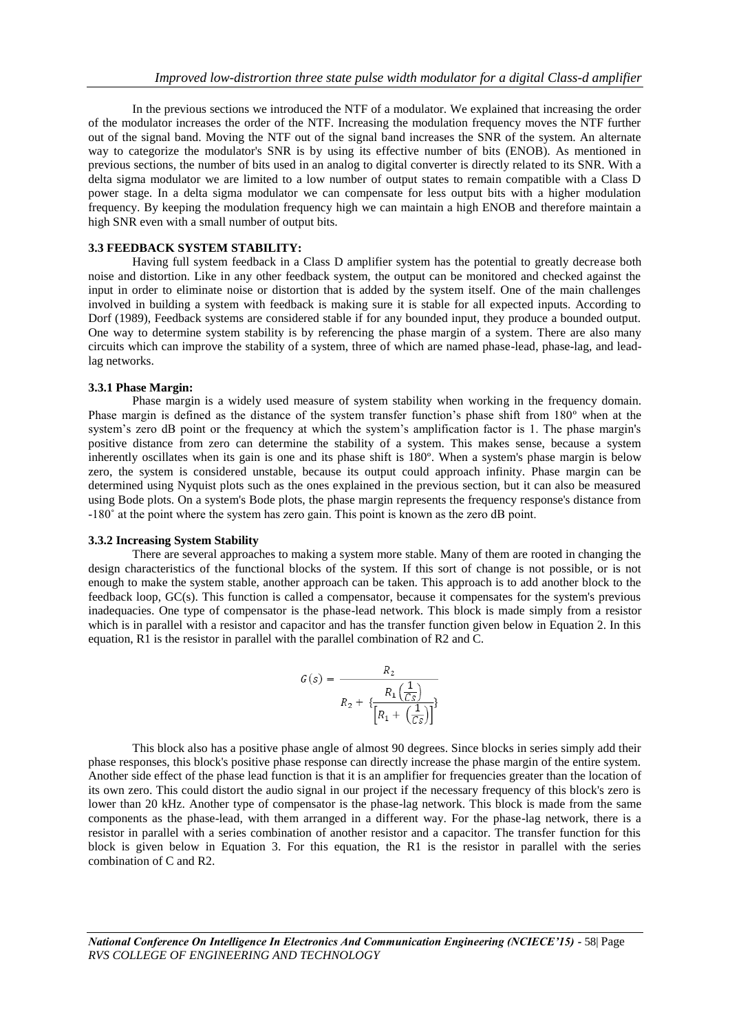In the previous sections we introduced the NTF of a modulator. We explained that increasing the order of the modulator increases the order of the NTF. Increasing the modulation frequency moves the NTF further out of the signal band. Moving the NTF out of the signal band increases the SNR of the system. An alternate way to categorize the modulator's SNR is by using its effective number of bits (ENOB). As mentioned in previous sections, the number of bits used in an analog to digital converter is directly related to its SNR. With a delta sigma modulator we are limited to a low number of output states to remain compatible with a Class D power stage. In a delta sigma modulator we can compensate for less output bits with a higher modulation frequency. By keeping the modulation frequency high we can maintain a high ENOB and therefore maintain a high SNR even with a small number of output bits.

### **3.3 FEEDBACK SYSTEM STABILITY:**

Having full system feedback in a Class D amplifier system has the potential to greatly decrease both noise and distortion. Like in any other feedback system, the output can be monitored and checked against the input in order to eliminate noise or distortion that is added by the system itself. One of the main challenges involved in building a system with feedback is making sure it is stable for all expected inputs. According to Dorf (1989), Feedback systems are considered stable if for any bounded input, they produce a bounded output. One way to determine system stability is by referencing the phase margin of a system. There are also many circuits which can improve the stability of a system, three of which are named phase-lead, phase-lag, and leadlag networks.

### **3.3.1 Phase Margin:**

Phase margin is a widely used measure of system stability when working in the frequency domain. Phase margin is defined as the distance of the system transfer function's phase shift from 180º when at the system's zero dB point or the frequency at which the system's amplification factor is 1. The phase margin's positive distance from zero can determine the stability of a system. This makes sense, because a system inherently oscillates when its gain is one and its phase shift is 180º. When a system's phase margin is below zero, the system is considered unstable, because its output could approach infinity. Phase margin can be determined using Nyquist plots such as the ones explained in the previous section, but it can also be measured using Bode plots. On a system's Bode plots, the phase margin represents the frequency response's distance from -180˚ at the point where the system has zero gain. This point is known as the zero dB point.

#### **3.3.2 Increasing System Stability**

There are several approaches to making a system more stable. Many of them are rooted in changing the design characteristics of the functional blocks of the system. If this sort of change is not possible, or is not enough to make the system stable, another approach can be taken. This approach is to add another block to the feedback loop, GC(s). This function is called a compensator, because it compensates for the system's previous inadequacies. One type of compensator is the phase-lead network. This block is made simply from a resistor which is in parallel with a resistor and capacitor and has the transfer function given below in Equation 2. In this equation, R1 is the resistor in parallel with the parallel combination of R2 and C.

$$
G(s) = \frac{R_2}{R_2 + \left\{ \frac{R_1\left(\frac{1}{Cs}\right)}{\left[R_1 + \left(\frac{1}{Cs}\right)\right] \right\}}}.
$$

This block also has a positive phase angle of almost 90 degrees. Since blocks in series simply add their phase responses, this block's positive phase response can directly increase the phase margin of the entire system. Another side effect of the phase lead function is that it is an amplifier for frequencies greater than the location of its own zero. This could distort the audio signal in our project if the necessary frequency of this block's zero is lower than 20 kHz. Another type of compensator is the phase-lag network. This block is made from the same components as the phase-lead, with them arranged in a different way. For the phase-lag network, there is a resistor in parallel with a series combination of another resistor and a capacitor. The transfer function for this block is given below in Equation 3. For this equation, the R1 is the resistor in parallel with the series combination of C and R2.

*National Conference On Intelligence In Electronics And Communication Engineering (NCIECE'15) -* 58| Page *RVS COLLEGE OF ENGINEERING AND TECHNOLOGY*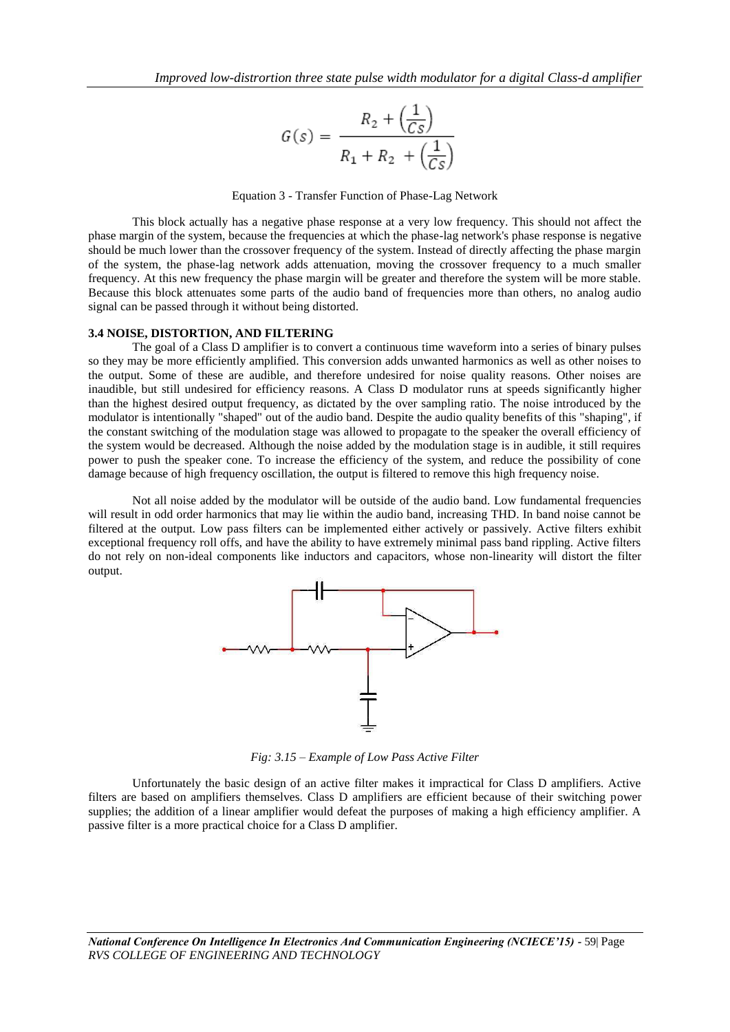$$
G(s) = \frac{R_2 + \left(\frac{1}{Cs}\right)}{R_1 + R_2 + \left(\frac{1}{Cs}\right)}
$$

### Equation 3 - Transfer Function of Phase-Lag Network

This block actually has a negative phase response at a very low frequency. This should not affect the phase margin of the system, because the frequencies at which the phase-lag network's phase response is negative should be much lower than the crossover frequency of the system. Instead of directly affecting the phase margin of the system, the phase-lag network adds attenuation, moving the crossover frequency to a much smaller frequency. At this new frequency the phase margin will be greater and therefore the system will be more stable. Because this block attenuates some parts of the audio band of frequencies more than others, no analog audio signal can be passed through it without being distorted.

#### **3.4 NOISE, DISTORTION, AND FILTERING**

The goal of a Class D amplifier is to convert a continuous time waveform into a series of binary pulses so they may be more efficiently amplified. This conversion adds unwanted harmonics as well as other noises to the output. Some of these are audible, and therefore undesired for noise quality reasons. Other noises are inaudible, but still undesired for efficiency reasons. A Class D modulator runs at speeds significantly higher than the highest desired output frequency, as dictated by the over sampling ratio. The noise introduced by the modulator is intentionally "shaped" out of the audio band. Despite the audio quality benefits of this "shaping", if the constant switching of the modulation stage was allowed to propagate to the speaker the overall efficiency of the system would be decreased. Although the noise added by the modulation stage is in audible, it still requires power to push the speaker cone. To increase the efficiency of the system, and reduce the possibility of cone damage because of high frequency oscillation, the output is filtered to remove this high frequency noise.

Not all noise added by the modulator will be outside of the audio band. Low fundamental frequencies will result in odd order harmonics that may lie within the audio band, increasing THD. In band noise cannot be filtered at the output. Low pass filters can be implemented either actively or passively. Active filters exhibit exceptional frequency roll offs, and have the ability to have extremely minimal pass band rippling. Active filters do not rely on non-ideal components like inductors and capacitors, whose non-linearity will distort the filter output.



*Fig: 3.15 – Example of Low Pass Active Filter*

Unfortunately the basic design of an active filter makes it impractical for Class D amplifiers. Active filters are based on amplifiers themselves. Class D amplifiers are efficient because of their switching power supplies; the addition of a linear amplifier would defeat the purposes of making a high efficiency amplifier. A passive filter is a more practical choice for a Class D amplifier.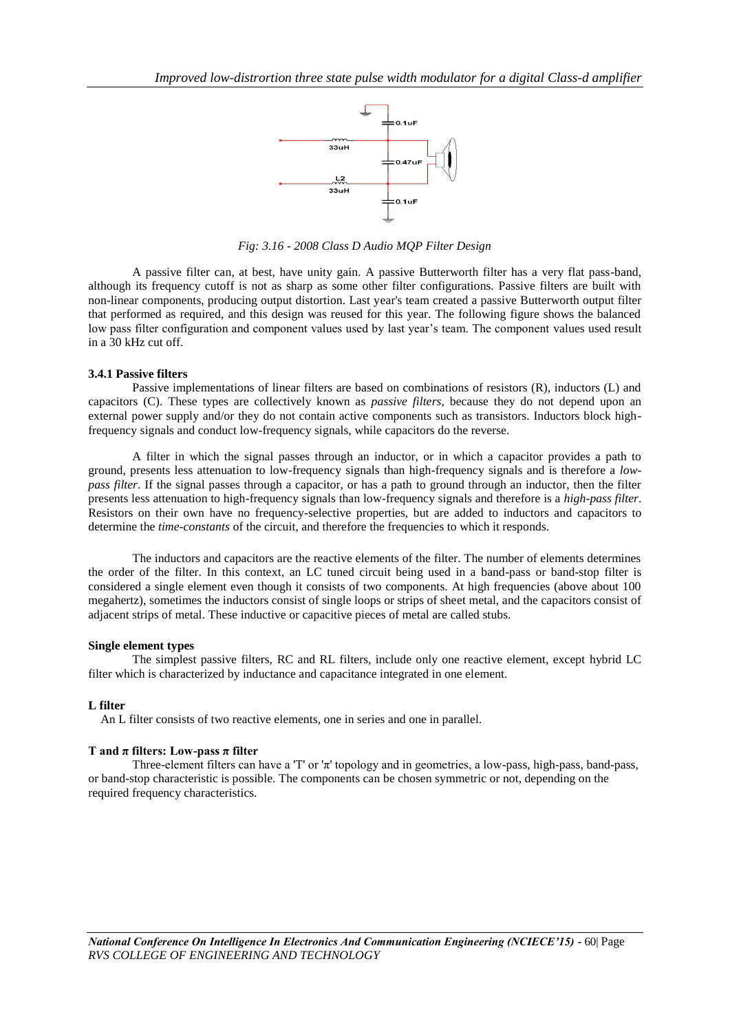

*Fig: 3.16 - 2008 Class D Audio MQP Filter Design*

A passive filter can, at best, have unity gain. A passive Butterworth filter has a very flat pass-band, although its frequency cutoff is not as sharp as some other filter configurations. Passive filters are built with non-linear components, producing output distortion. Last year's team created a passive Butterworth output filter that performed as required, and this design was reused for this year. The following figure shows the balanced low pass filter configuration and component values used by last year's team. The component values used result in a 30 kHz cut off.

### **3.4.1 Passive filters**

Passive implementations of linear filters are based on combinations of resistors (R), inductors (L) and capacitors (C). These types are collectively known as *passive filters*, because they do not depend upon an external power supply and/or they do not contain active components such as transistors. Inductors block highfrequency signals and conduct low-frequency signals, while capacitors do the reverse.

A filter in which the signal passes through an inductor, or in which a capacitor provides a path to ground, presents less attenuation to low-frequency signals than high-frequency signals and is therefore a *lowpass filter*. If the signal passes through a capacitor, or has a path to ground through an inductor, then the filter presents less attenuation to high-frequency signals than low-frequency signals and therefore is a *high-pass filter*. Resistors on their own have no frequency-selective properties, but are added to inductors and capacitors to determine the *time-constants* of the circuit, and therefore the frequencies to which it responds.

The inductors and capacitors are the reactive elements of the filter. The number of elements determines the order of the filter. In this context, an LC tuned circuit being used in a band-pass or band-stop filter is considered a single element even though it consists of two components. At high frequencies (above about 100 megahertz), sometimes the inductors consist of single loops or strips of sheet metal, and the capacitors consist of adjacent strips of metal. These inductive or capacitive pieces of metal are called stubs.

#### **Single element types**

The simplest passive filters, [RC](http://en.wikipedia.org/wiki/RC_circuit) and [RL](http://en.wikipedia.org/wiki/RL_circuit) filters, include only one reactive element, except [hybrid LC](http://en.wikipedia.org/wiki/Hybrid_LC_Filter)  [filter](http://en.wikipedia.org/wiki/Hybrid_LC_Filter) which is characterized by inductance and capacitance integrated in one element.

# **L filter**

An L filter consists of two reactive elements, one in series and one in parallel.

### **T and π filters: Low-pass π filter**

Three-element filters can have a 'T' or 'π' topology and in geometries, a low-pass, [high-pass,](http://en.wikipedia.org/wiki/High-pass) band-pass, or band-stop characteristic is possible. The components can be chosen symmetric or not, depending on the required frequency characteristics.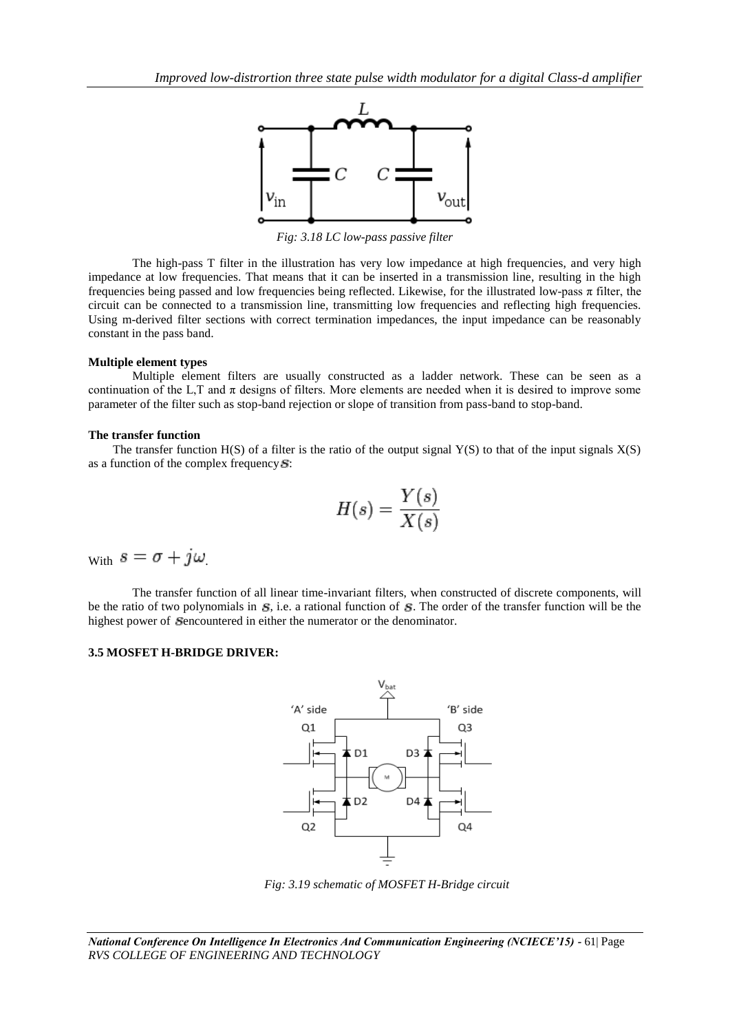

*Fig: 3.18 LC low-pass passive filter*

The high-pass T filter in the illustration has very low impedance at high frequencies, and very high impedance at low frequencies. That means that it can be inserted in a transmission line, resulting in the high frequencies being passed and low frequencies being reflected. Likewise, for the illustrated low-pass π filter, the circuit can be connected to a transmission line, transmitting low frequencies and reflecting high frequencies. Using m-derived filter sections with correct termination impedances, the input impedance can be reasonably constant in the pass band.

#### **Multiple element types**

Multiple element filters are usually constructed as a ladder network. These can be seen as a continuation of the L,T and  $\pi$  designs of filters. More elements are needed when it is desired to improve some parameter of the filter such as stop-band rejection or slope of transition from pass-band to stop-band.

### **The transfer function**

The transfer function  $H(S)$  of a filter is the ratio of the output signal Y(S) to that of the input signals  $X(S)$ as a function of the complex frequency  $S$ :

$$
H(s) = \frac{Y(s)}{X(s)}
$$

With  $s = \sigma + j\omega$ 

The transfer function of all linear time-invariant filters, when constructed of discrete components, will be the ratio of two polynomials in  $S$ , i.e. a rational function of  $S$ . The order of the transfer function will be the highest power of Sencountered in either the numerator or the denominator.

# **3.5 MOSFET H-BRIDGE DRIVER:**



*Fig: 3.19 schematic of MOSFET H-Bridge circuit*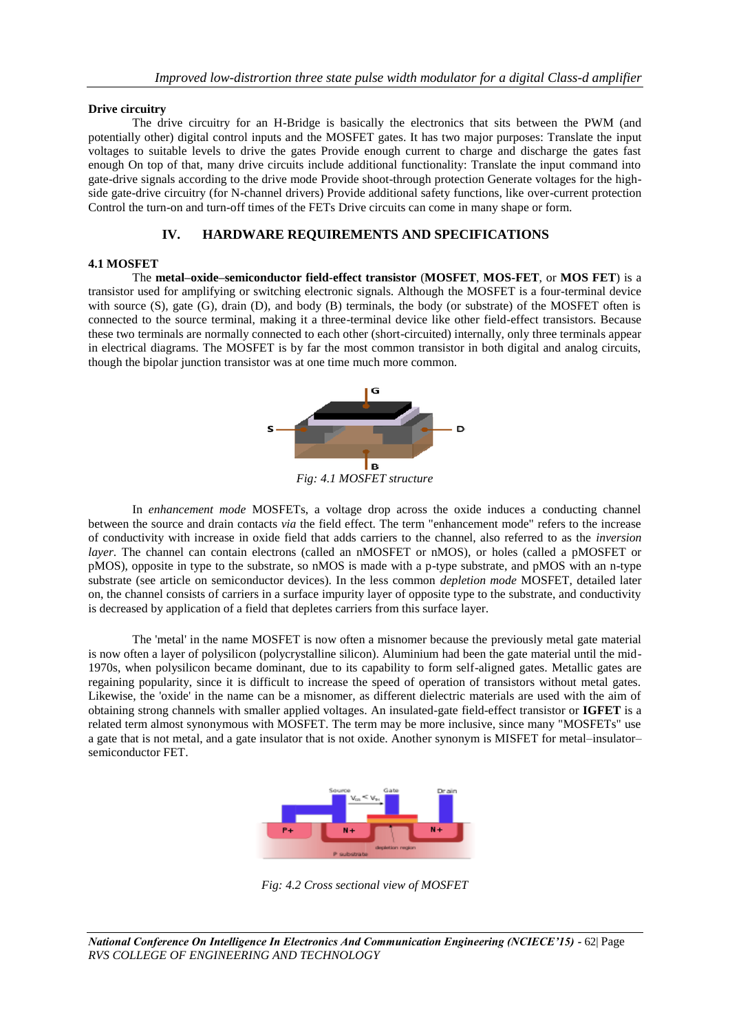# **Drive circuitry**

The drive circuitry for an H-Bridge is basically the electronics that sits between the PWM (and potentially other) digital control inputs and the MOSFET gates. It has two major purposes: Translate the input voltages to suitable levels to drive the gates Provide enough current to charge and discharge the gates fast enough On top of that, many drive circuits include additional functionality: Translate the input command into gate-drive signals according to the drive mode Provide shoot-through protection Generate voltages for the highside gate-drive circuitry (for N-channel drivers) Provide additional safety functions, like over-current protection Control the turn-on and turn-off times of the FETs Drive circuits can come in many shape or form.

# **IV. HARDWARE REQUIREMENTS AND SPECIFICATIONS**

### **4.1 MOSFET**

The **metal–oxide–semiconductor field-effect transistor** (**MOSFET**, **MOS-FET**, or **MOS FET**) is a transistor used for amplifying or switching electronic signals. Although the MOSFET is a four-terminal device with source (S), gate (G), drain (D), and body (B) terminals, the body (or substrate) of the MOSFET often is connected to the source terminal, making it a three-terminal device like other field-effect transistors. Because these two terminals are normally connected to each other (short-circuited) internally, only three terminals appear in electrical diagrams. The MOSFET is by far the most common transistor in both digital and analog circuits, though the bipolar junction transistor was at one time much more common.



*Fig: 4.1 MOSFET structure*

In *enhancement mode* MOSFETs, a voltage drop across the oxide induces a conducting channel between the source and drain contacts *via* the field effect. The term "enhancement mode" refers to the increase of conductivity with increase in oxide field that adds carriers to the channel, also referred to as the *inversion layer*. The channel can contain electrons (called an nMOSFET or nMOS), or holes (called a pMOSFET or pMOS), opposite in type to the substrate, so nMOS is made with a p-type substrate, and pMOS with an n-type substrate (see article on semiconductor devices). In the less common *depletion mode* MOSFET, detailed later on, the channel consists of carriers in a surface impurity layer of opposite type to the substrate, and conductivity is decreased by application of a field that depletes carriers from this surface layer.

The 'metal' in the name MOSFET is now often a misnomer because the previously metal gate material is now often a layer of polysilicon (polycrystalline silicon). Aluminium had been the gate material until the mid-1970s, when polysilicon became dominant, due to its capability to form self-aligned gates. Metallic gates are regaining popularity, since it is difficult to increase the speed of operation of transistors without metal gates. Likewise, the 'oxide' in the name can be a misnomer, as different dielectric materials are used with the aim of obtaining strong channels with smaller applied voltages. An insulated-gate field-effect transistor or **IGFET** is a related term almost synonymous with MOSFET. The term may be more inclusive, since many "MOSFETs" use a gate that is not metal, and a gate insulator that is not oxide. Another synonym is MISFET for metal–insulator– semiconductor FET.



*Fig: 4.2 Cross sectional view of MOSFET*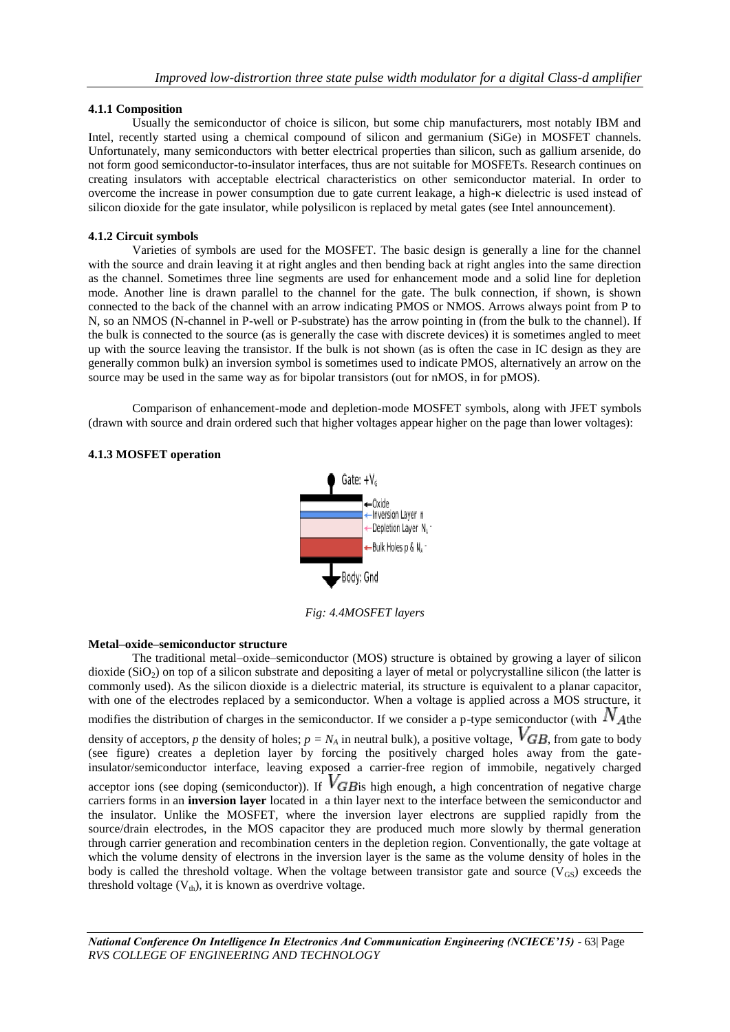# **4.1.1 Composition**

Usually the semiconductor of choice is silicon, but some chip manufacturers, most notably IBM and Intel, recently started using a chemical compound of silicon and germanium (SiGe) in MOSFET channels. Unfortunately, many semiconductors with better electrical properties than silicon, such as gallium arsenide, do not form good semiconductor-to-insulator interfaces, thus are not suitable for MOSFETs. Research continues on creating insulators with acceptable electrical characteristics on other semiconductor material. In order to overcome the increase in power consumption due to gate current leakage, a high-κ dielectric is used instead of silicon dioxide for the gate insulator, while polysilicon is replaced by metal gates (see Intel announcement).

# **4.1.2 Circuit symbols**

Varieties of symbols are used for the MOSFET. The basic design is generally a line for the channel with the source and drain leaving it at right angles and then bending back at right angles into the same direction as the channel. Sometimes three line segments are used for enhancement mode and a solid line for depletion mode. Another line is drawn parallel to the channel for the gate. The bulk connection, if shown, is shown connected to the back of the channel with an arrow indicating PMOS or NMOS. Arrows always point from P to N, so an NMOS (N-channel in P-well or P-substrate) has the arrow pointing in (from the bulk to the channel). If the bulk is connected to the source (as is generally the case with discrete devices) it is sometimes angled to meet up with the source leaving the transistor. If the bulk is not shown (as is often the case in IC design as they are generally common bulk) an inversion symbol is sometimes used to indicate PMOS, alternatively an arrow on the source may be used in the same way as for bipolar transistors (out for nMOS, in for pMOS).

Comparison of enhancement-mode and depletion-mode MOSFET symbols, along with JFET symbols (drawn with source and drain ordered such that higher voltages appear higher on the page than lower voltages):

# **4.1.3 MOSFET operation**



*Fig: 4.4MOSFET layers*

# **Metal–oxide–semiconductor structure**

The traditional metal–oxide–semiconductor (MOS) structure is obtained by growing a layer of silicon dioxide  $(SiO<sub>2</sub>)$  on top of a silicon substrate and depositing a layer of metal or polycrystalline silicon (the latter is commonly used). As the silicon dioxide is a dielectric material, its structure is equivalent to a planar capacitor, with one of the electrodes replaced by a semiconductor. When a voltage is applied across a MOS structure, it modifies the distribution of charges in the semiconductor. If we consider a p-type semiconductor (with  $N_{\text{Athe}}$ density of acceptors, *p* the density of holes;  $p = N_A$  in neutral bulk), a positive voltage,  $V_{GB}$ , from gate to body (see figure) creates a depletion layer by forcing the positively charged holes away from the gateinsulator/semiconductor interface, leaving exposed a carrier-free region of immobile, negatively charged acceptor ions (see doping (semiconductor)). If  $V$ *GB* is high enough, a high concentration of negative charge carriers forms in an **inversion layer** located in a thin layer next to the interface between the semiconductor and the insulator. Unlike the MOSFET, where the inversion layer electrons are supplied rapidly from the source/drain electrodes, in the MOS capacitor they are produced much more slowly by thermal generation through carrier generation and recombination centers in the depletion region. Conventionally, the gate voltage at which the volume density of electrons in the inversion layer is the same as the volume density of holes in the body is called the threshold voltage. When the voltage between transistor gate and source ( $V_{GS}$ ) exceeds the threshold voltage  $(V<sub>th</sub>)$ , it is known as overdrive voltage.

*National Conference On Intelligence In Electronics And Communication Engineering (NCIECE'15) -* 63| Page *RVS COLLEGE OF ENGINEERING AND TECHNOLOGY*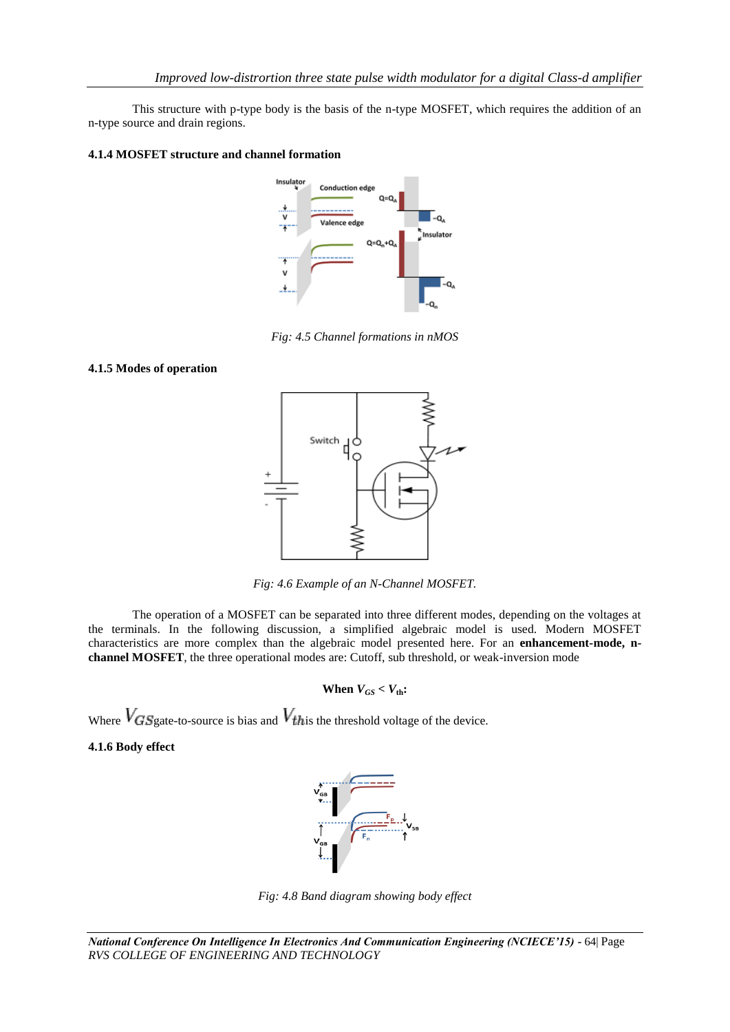This structure with p-type body is the basis of the n-type MOSFET, which requires the addition of an n-type source and drain regions.

# **4.1.4 MOSFET structure and channel formation**



*Fig: 4.5 Channel formations in nMOS*

## **4.1.5 Modes of operation**



*Fig: 4.6 Example of an N-Channel MOSFET.*

The operation of a MOSFET can be separated into three different modes, depending on the voltages at the terminals. In the following discussion, a simplified algebraic model is used. Modern MOSFET characteristics are more complex than the algebraic model presented here. For an **enhancement-mode, nchannel MOSFET**, the three operational modes are: Cutoff, sub threshold, or weak-inversion mode

### **When**  $V_{GS} < V_{th}$ :

Where  $V_{GS}$  gate-to-source is bias and  $V_{this}$  the threshold voltage of the device.

# **4.1.6 Body effect**



*Fig: 4.8 Band diagram showing body effect*

*National Conference On Intelligence In Electronics And Communication Engineering (NCIECE'15) -* 64| Page *RVS COLLEGE OF ENGINEERING AND TECHNOLOGY*